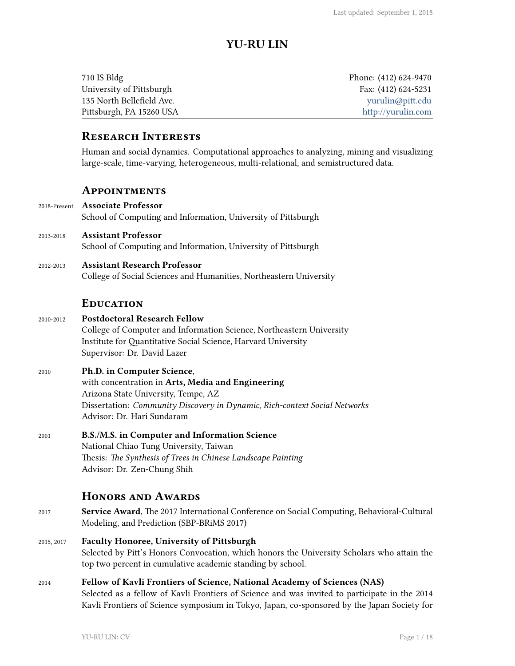# **YU-RU LIN**

| 710 IS Bldg               | Phone: (412) 624-9470 |
|---------------------------|-----------------------|
| University of Pittsburgh  | Fax: $(412)$ 624-5231 |
| 135 North Bellefield Ave. | yurulin@pitt.edu      |
| Pittsburgh, PA 15260 USA  | http://yurulin.com    |

## **Research Interests**

Human and social dynamics. Computational approaches to analyzing, mining and visualizing large-scale, time-varying, heterogeneous, multi-relational, and semistructured data.

### **Appointments**

- 2018-Present **Associate Professor** School of Computing and Information, University of Pittsburgh
- 2013-2018 **Assistant Professor** School of Computing and Information, University of Pittsburgh
- 2012-2013 **Assistant Research Professor** College of Social Sciences and Humanities, Northeastern University

### **Education**

### 2010-2012 **Postdoctoral Research Fellow** College of Computer and Information Science, Northeastern University Institute for Quantitative Social Science, Harvard University Supervisor: Dr. David Lazer

#### 2010 **Ph.D. in Computer Science**,

with concentration in **Arts, Media and Engineering** Arizona State University, Tempe, AZ Dissertation: *Community Discovery in Dynamic, Rich-context Social Networks* Advisor: Dr. Hari Sundaram

2001 **B.S./M.S. in Computer and Information Science** National Chiao Tung University, Taiwan Thesis: *The Synthesis of Trees in Chinese Landscape Painting* Advisor: Dr. Zen-Chung Shih

# **Honors and Awards**

- 2017 **Service Award**, The 2017 International Conference on Social Computing, Behavioral-Cultural Modeling, and Prediction (SBP-BRiMS 2017)
- 2015, 2017 **Faculty Honoree, University of Pittsburgh** Selected by Pitt's Honors Convocation, which honors the University Scholars who attain the top two percent in cumulative academic standing by school.
- 2014 **Fellow of Kavli Frontiers of Science, National Academy of Sciences (NAS)** Selected as a fellow of Kavli Frontiers of Science and was invited to participate in the 2014 Kavli Frontiers of Science symposium in Tokyo, Japan, co-sponsored by the Japan Society for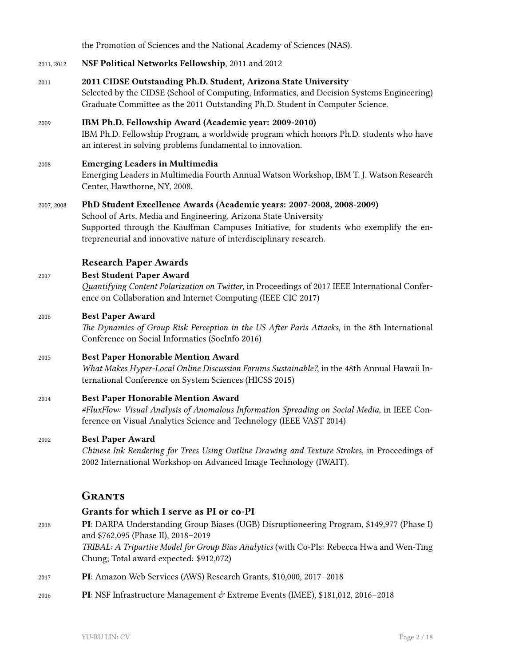the Promotion of Sciences and the National Academy of Sciences (NAS). 2011, 2012 **NSF Political Networks Fellowship**, 2011 and 2012 2011 **2011 CIDSE Outstanding Ph.D. Student, Arizona State University** Selected by the CIDSE (School of Computing, Informatics, and Decision Systems Engineering) Graduate Committee as the 2011 Outstanding Ph.D. Student in Computer Science. 2009 **IBM Ph.D. Fellowship Award (Academic year: 2009-2010)** IBM Ph.D. Fellowship Program, a worldwide program which honors Ph.D. students who have an interest in solving problems fundamental to innovation. 2008 **Emerging Leaders in Multimedia** Emerging Leaders in Multimedia Fourth Annual Watson Workshop, IBM T. J. Watson Research Center, Hawthorne, NY, 2008. 2007, 2008 **PhD Student Excellence Awards (Academic years: 2007-2008, 2008-2009)** School of Arts, Media and Engineering, Arizona State University Supported through the Kauffman Campuses Initiative, for students who exemplify the entrepreneurial and innovative nature of interdisciplinary research. **Research Paper Awards** 2017 **Best Student Paper Award** *Quantifying Content Polarization on Twitter*, in Proceedings of 2017 IEEE International Conference on Collaboration and Internet Computing (IEEE CIC 2017) 2016 **Best Paper Award** *The Dynamics of Group Risk Perception in the US After Paris Attacks*, in the 8th International Conference on Social Informatics (SocInfo 2016) 2015 **Best Paper Honorable Mention Award** *What Makes Hyper-Local Online Discussion Forums Sustainable?*, in the 48th Annual Hawaii International Conference on System Sciences (HICSS 2015) 2014 **Best Paper Honorable Mention Award** *#FluxFlow: Visual Analysis of Anomalous Information Spreading on Social Media*, in IEEE Conference on Visual Analytics Science and Technology (IEEE VAST 2014) 2002 **Best Paper Award** *Chinese Ink Rendering for Trees Using Outline Drawing and Texture Strokes*, in Proceedings of 2002 International Workshop on Advanced Image Technology (IWAIT). **Grants Grants for which I serve as PI or co-PI** 2018 **PI**: DARPA Understanding Group Biases (UGB) Disruptioneering Program, \$149,977 (Phase I) and \$762,095 (Phase II), 2018–2019 *TRIBAL: A Tripartite Model for Group Bias Analytics* (with Co-PIs: Rebecca Hwa and Wen-Ting Chung; Total award expected: \$912,072) 2017 **PI**: Amazon Web Services (AWS) Research Grants, \$10,000, 2017–2018 2016 **PI**: NSF Infrastructure Management & Extreme Events (IMEE), \$181,012, 2016–2018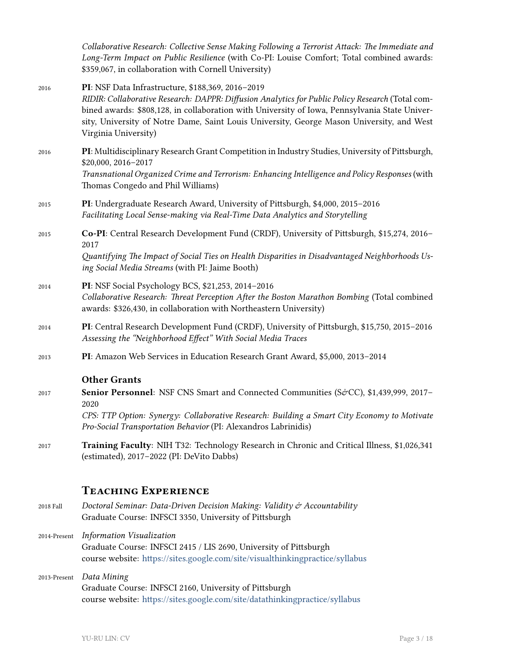*Collaborative Research: Collective Sense Making Following a Terrorist Attack: The Immediate and Long-Term Impact on Public Resilience* (with Co-PI: Louise Comfort; Total combined awards: \$359,067, in collaboration with Cornell University)

- 2016 **PI**: NSF Data Infrastructure, \$188,369, 2016–2019 *RIDIR: Collaborative Research: DAPPR: Diffusion Analytics for Public Policy Research* (Total combined awards: \$808,128, in collaboration with University of Iowa, Pennsylvania State University, University of Notre Dame, Saint Louis University, George Mason University, and West Virginia University) 2016 **PI**: Multidisciplinary Research Grant Competition in Industry Studies, University of Pittsburgh, \$20,000, 2016–2017 *Transnational Organized Crime and Terrorism: Enhancing Intelligence and Policy Responses* (with Thomas Congedo and Phil Williams) 2015 **PI**: Undergraduate Research Award, University of Pittsburgh, \$4,000, 2015–2016 *Facilitating Local Sense-making via Real-Time Data Analytics and Storytelling* 2015 **Co-PI**: Central Research Development Fund (CRDF), University of Pittsburgh, \$15,274, 2016– 2017 *Quantifying The Impact of Social Ties on Health Disparities in Disadvantaged Neighborhoods Using Social Media Streams* (with PI: Jaime Booth) 2014 **PI**: NSF Social Psychology BCS, \$21,253, 2014–2016 *Collaborative Research: Threat Perception After the Boston Marathon Bombing* (Total combined
- awards: \$326,430, in collaboration with Northeastern University) 2014 **PI**: Central Research Development Fund (CRDF), University of Pittsburgh, \$15,750, 2015–2016 *Assessing the "Neighborhood Effect" With Social Media Traces*
- 2013 **PI**: Amazon Web Services in Education Research Grant Award, \$5,000, 2013–2014

### **Other Grants**

- 2017 **Senior Personnel**: NSF CNS Smart and Connected Communities (S&CC), \$1,439,999, 2017– 2020 *CPS: TTP Option: Synergy: Collaborative Research: Building a Smart City Economy to Motivate Pro-Social Transportation Behavior* (PI: Alexandros Labrinidis)
- 2017 **Training Faculty**: NIH T32: Technology Research in Chronic and Critical Illness, \$1,026,341 (estimated), 2017–2022 (PI: DeVito Dabbs)

# **Teaching Experience**

- 2018 Fall *Doctoral Seminar: Data-Driven Decision Making: Validity & Accountability* Graduate Course: INFSCI 3350, University of Pittsburgh
- 2014-Present *Information Visualization* Graduate Course: INFSCI 2415 / LIS 2690, University of Pittsburgh course website: <https://sites.google.com/site/visualthinkingpractice/syllabus>
- 2013-Present *Data Mining* Graduate Course: INFSCI 2160, University of Pittsburgh course website: <https://sites.google.com/site/datathinkingpractice/syllabus>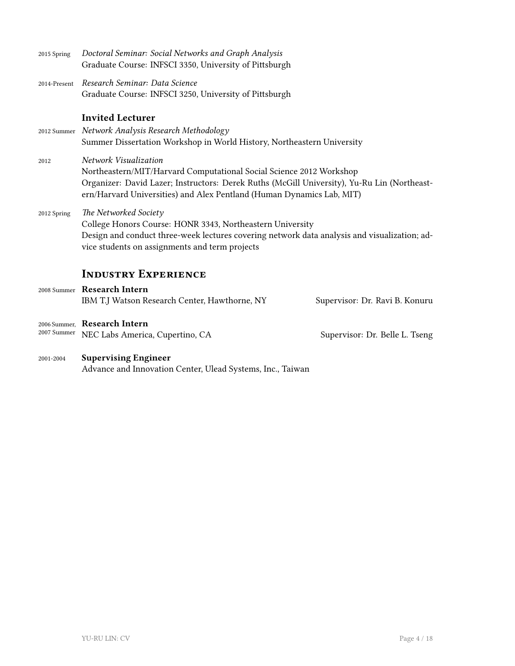| 2015 Spring  | Doctoral Seminar: Social Networks and Graph Analysis<br>Graduate Course: INFSCI 3350, University of Pittsburgh                                                                                                                                                       |
|--------------|----------------------------------------------------------------------------------------------------------------------------------------------------------------------------------------------------------------------------------------------------------------------|
| 2014-Present | Research Seminar: Data Science<br>Graduate Course: INFSCI 3250, University of Pittsburgh                                                                                                                                                                             |
|              | <b>Invited Lecturer</b><br>2012 Summer Network Analysis Research Methodology<br>Summer Dissertation Workshop in World History, Northeastern University                                                                                                               |
| 2012         | Network Visualization<br>Northeastern/MIT/Harvard Computational Social Science 2012 Workshop<br>Organizer: David Lazer; Instructors: Derek Ruths (McGill University), Yu-Ru Lin (Northeast-<br>ern/Harvard Universities) and Alex Pentland (Human Dynamics Lab, MIT) |
| 2012 Spring  | The Networked Society<br>College Honors Course: HONR 3343, Northeastern University<br>Design and conduct three-week lectures covering network data analysis and visualization; ad-<br>vice students on assignments and term projects                                 |
|              | <b>INDUSTRY EXPERIENCE</b>                                                                                                                                                                                                                                           |
|              | 2008 Summer Research Intern<br>IBM T.J Watson Research Center, Hawthorne, NY<br>Supervisor: Dr. Ravi B. Konuru                                                                                                                                                       |
| 2007 Summer  | 2006 Summer, Research Intern<br>NEC Labs America, Cupertino, CA<br>Supervisor: Dr. Belle L. Tseng                                                                                                                                                                    |

2001-2004 **Supervising Engineer** Advance and Innovation Center, Ulead Systems, Inc., Taiwan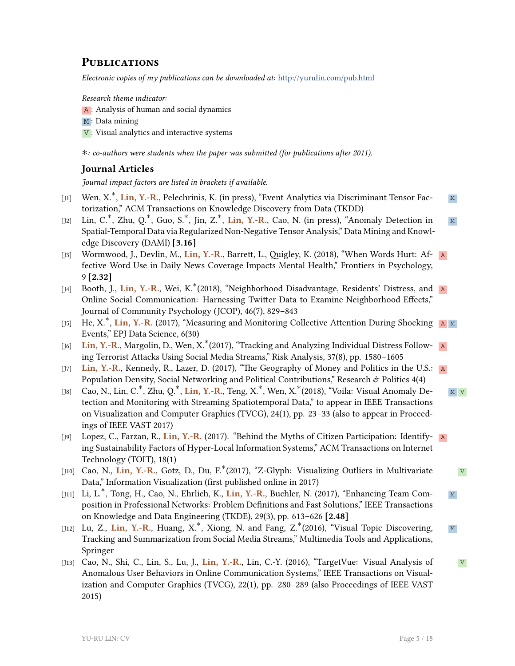# **Publications**

*Electronic copies of my publications can be downloaded at:* <http://yurulin.com/pub.html>

*Research theme indicator:*

A: Analysis of human and social dynamics

M: Data mining

 $V$ : Visual analytics and interactive systems

*∗: co-authors were students when the paper was submitted (for publications after 2011).*

### **Journal Articles**

*Journal impact factors are listed in brackets if available.*

- [J1] Wen, X. M *∗* , **Lin, Y.-R.**, Pelechrinis, K. (in press), "Event Analytics via Discriminant Tensor Factorization," ACM Transactions on Knowledge Discovery from Data (TKDD)
- [J2] Lin, C.<sup>\*</sup>, Zhu, Q.<sup>\*</sup>, Guo, S.<sup>\*</sup>, Jin, Z.<sup>\*</sup>, Lin, Y.-R., Cao, N. (in press), "Anomaly Detection in <u>M</u> Spatial-Temporal Data via Regularized Non-Negative Tensor Analysis," Data Mining and Knowledge Discovery (DAMI) **[3.16]**
- [J3] Wormwood, J., Devlin, M., **Lin, Y.-R.**, Barrett, L., Quigley, K. (2018), "When Words Hurt: Af- A fective Word Use in Daily News Coverage Impacts Mental Health," Frontiers in Psychology, 9 **[2.32]**
- [J4] Booth, J., Lin, Y.-R., Wei, K.<sup>\*</sup>(2018), "Neighborhood Disadvantage, Residents' Distress, and <mark>A</mark> Online Social Communication: Harnessing Twitter Data to Examine Neighborhood Effects," Journal of Community Psychology (JCOP), 46(7), 829–843
- [J5] He, X.<sup>\*</sup>, Lin, Y.-R. (2017), "Measuring and Monitoring Collective Attention During Shocking A M Events," EPJ Data Science, 6(30)
- [J6] Lin, Y.-R., Margolin, D., Wen, X.<sup>\*</sup>(2017), "Tracking and Analyzing Individual Distress Follow- ∆a ing Terrorist Attacks Using Social Media Streams," Risk Analysis, 37(8), pp. 1580–1605
- [J7] Lin, Y.-R., Kennedy, R., Lazer, D. (2017), "The Geography of Money and Politics in the U.S.: A Population Density, Social Networking and Political Contributions," Research  $\dot{\varphi}$  Politics 4(4)
- $[J8]$  Сао, N., Lin, C.<sup>∗</sup>, Zhu, Q.<sup>∗</sup>, **Lin, Y.-R.**, Teng, X.<sup>∗</sup>, Wen, X.<sup>∗</sup>(2018), "Voila: Visual Anomaly De- <u>м <mark>∨</mark></u> tection and Monitoring with Streaming Spatiotemporal Data," to appear in IEEE Transactions on Visualization and Computer Graphics (TVCG), 24(1), pp. 23–33 (also to appear in Proceedings of IEEE VAST 2017)
- [J9] Lopez, C., Farzan, R., **Lin, Y.-R.** (2017). "Behind the Myths of Citizen Participation: Identify- A ing Sustainability Factors of Hyper-Local Information Systems," ACM Transactions on Internet Technology (TOIT), 18(1)
- [J10] Cao, N., Lin, Y.-R., Gotz, D., Du, F.<sup>\*</sup>(2017), "Z-Glyph: Visualizing Outliers in Multivariate v Data," Information Visualization (first published online in 2017)
- [J11] Li, L. M *∗* , Tong, H., Cao, N., Ehrlich, K., **Lin, Y.-R.**, Buchler, N. (2017), "Enhancing Team Composition in Professional Networks: Problem Definitions and Fast Solutions," IEEE Transactions on Knowledge and Data Engineering (TKDE), 29(3), pp. 613–626 **[2.48]**
- [J12] Lu, Z., Lin, Y.-R., Huang, X.<sup>\*</sup>, Xiong, N. and Fang, Z.<sup>\*</sup>(2016), "Visual Topic Discovering, ∧ <sub>M</sub> Tracking and Summarization from Social Media Streams," Multimedia Tools and Applications, Springer
- [J13] Cao, N., Shi, C., Lin, S., Lu, J., **Lin, Y.-R.**, Lin, C.-Y. (2016), "TargetVue: Visual Analysis of V Anomalous User Behaviors in Online Communication Systems," IEEE Transactions on Visualization and Computer Graphics (TVCG), 22(1), pp. 280–289 (also Proceedings of IEEE VAST 2015)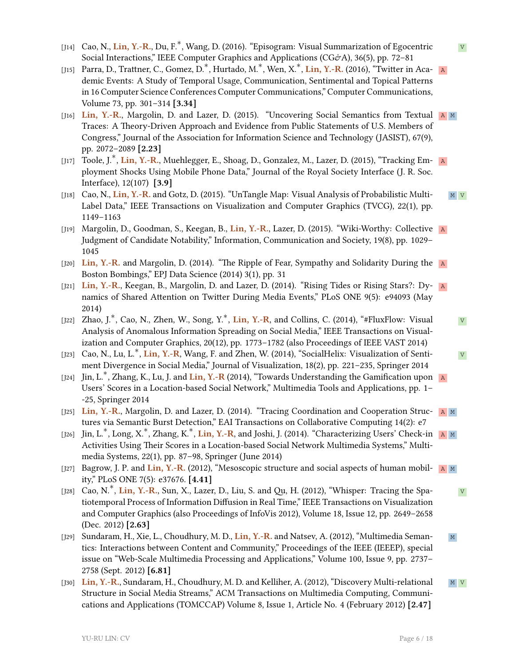- [J14] Cao, N., <mark>Lin, Y.-R</mark>., Du, F.<sup>\*</sup>, Wang, D. (2016). "Episogram: Visual Summarization of Egocentric ⊿v Social Interactions," IEEE Computer Graphics and Applications (CG&A), 36(5), pp. 72-81
- [J15] Parra, D., Trattner, C., Gomez, D.<sup>∗</sup>, Hurtado, M.<sup>∗</sup>, Wen, X.<sup>∗</sup>, **Lin, Y.-R.** (2016), "Twitter in Aca- **A** demic Events: A Study of Temporal Usage, Communication, Sentimental and Topical Patterns in 16 Computer Science Conferences Computer Communications," Computer Communications, Volume 73, pp. 301–314 **[3.34]**
- [J16] **Lin, Y.-R.**, Margolin, D. and Lazer, D. (2015). "Uncovering Social Semantics from Textual A M Traces: A Theory-Driven Approach and Evidence from Public Statements of U.S. Members of Congress," Journal of the Association for Information Science and Technology (JASIST), 67(9), pp. 2072–2089 **[2.23]**
- [J17] Toole, J.<sup>\*</sup>, **Lin, Y.-R.**, Muehlegger, E., Shoag, D., Gonzalez, M., Lazer, D. (2015), "Tracking Em- R ployment Shocks Using Mobile Phone Data," Journal of the Royal Society Interface (J. R. Soc. Interface), 12(107) **[3.9]**
- [J18] Cao, N., **Lin, Y.-R.** and Gotz, D. (2015). "UnTangle Map: Visual Analysis of Probabilistic Multi- M V Label Data," IEEE Transactions on Visualization and Computer Graphics (TVCG), 22(1), pp. 1149–1163
- [J19] Margolin, D., Goodman, S., Keegan, B., **Lin, Y.-R.**, Lazer, D. (2015). "Wiki-Worthy: Collective A Judgment of Candidate Notability," Information, Communication and Society, 19(8), pp. 1029– 1045
- [J20] **Lin, Y.-R.** and Margolin, D. (2014). "The Ripple of Fear, Sympathy and Solidarity During the Boston Bombings," EPJ Data Science (2014) 3(1), pp. 31
- [J21] **Lin, Y.-R.**, Keegan, B., Margolin, D. and Lazer, D. (2014). "Rising Tides or Rising Stars?: Dy- A namics of Shared Attention on Twitter During Media Events," PLoS ONE 9(5): e94093 (May 2014)
- [J22] Zhao, J.<sup>\*</sup>, Cao, N., Zhen, W., Song, Y.<sup>\*</sup>, **Lin, Y.-R**, and Collins, C. (2014), "#FluxFlow: Visual v Analysis of Anomalous Information Spreading on Social Media," IEEE Transactions on Visualization and Computer Graphics, 20(12), pp. 1773–1782 (also Proceedings of IEEE VAST 2014)
- [J23] Cao, N., Lu, L.<sup>\*</sup>, Lin, Y.-R, Wang, F. and Zhen, W. (2014), "SocialHelix: Visualization of Senti-v ment Divergence in Social Media," Journal of Visualization, 18(2), pp. 221–235, Springer 2014
- [J24] Jin, L.<sup>\*</sup>, Zhang, K., Lu, J. and <mark>Lin, Y.-R</mark> (2014), "Towards Understanding the Gamification upon ∆a Users' Scores in a Location-based Social Network," Multimedia Tools and Applications, pp. 1– -25, Springer 2014
- [J25] **Lin, Y.-R.**, Margolin, D. and Lazer, D. (2014). "Tracing Coordination and Cooperation Struc- A M tures via Semantic Burst Detection," EAI Transactions on Collaborative Computing 14(2): e7
- [J26] Jin, L.<sup>∗</sup>, Long, X.<sup>∗</sup>, Zhang, K.<sup>∗</sup>, **Lin, Y.-R**, and Joshi, J. (2014). "Characterizing Users' Check-in <u>թա</u>խա Activities Using Their Scores in a Location-based Social Network Multimedia Systems," Multimedia Systems, 22(1), pp. 87–98, Springer (June 2014)
- [J27] Bagrow, J. P. and **Lin, Y.-R.** (2012), "Mesoscopic structure and social aspects of human mobil- A M ity," PLoS ONE 7(5): e37676. **[4.41]**
- [J28] Cao, N.<sup>\*</sup>, **Lin, Y.-R.**, Sun, X., Lazer, D., Liu, S. and Qu, H. (2012), "Whisper: Tracing the Spatiotemporal Process of Information Diffusion in Real Time," IEEE Transactions on Visualization and Computer Graphics (also Proceedings of InfoVis 2012), Volume 18, Issue 12, pp. 2649–2658 (Dec. 2012) **[2.63]**
- [J29] Sundaram, H., Xie, L., Choudhury, M. D., **Lin, Y.-R.** and Natsev, A. (2012), "Multimedia Seman- M tics: Interactions between Content and Community," Proceedings of the IEEE (IEEEP), special issue on "Web-Scale Multimedia Processing and Applications," Volume 100, Issue 9, pp. 2737– 2758 (Sept. 2012) **[6.81]**
- [J30] **Lin, Y.-R.**, Sundaram, H., Choudhury, M. D. and Kelliher, A. (2012), "Discovery Multi-relational M V Structure in Social Media Streams," ACM Transactions on Multimedia Computing, Communications and Applications (TOMCCAP) Volume 8, Issue 1, Article No. 4 (February 2012) **[2.47]**

YU-RU LIN: CV Page 6 / 18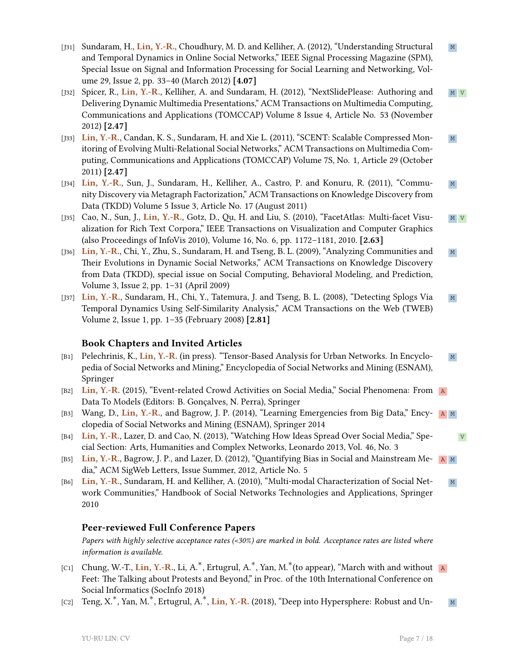- [J31] Sundaram, H., Lin, Y.-R., Choudhury, M. D. and Kelliher, A. (2012), "Understanding Structural M and Temporal Dynamics in Online Social Networks," IEEE Signal Processing Magazine (SPM), Special Issue on Signal and Information Processing for Social Learning and Networking, Volume 29, Issue 2, pp. 33–40 (March 2012) **[4.07]**
- [J32] Spicer, R., Lin, Y.-R., Kelliher, A. and Sundaram, H. (2012), "NextSlidePlease: Authoring and M V Delivering Dynamic Multimedia Presentations," ACM Transactions on Multimedia Computing, Communications and Applications (TOMCCAP) Volume 8 Issue 4, Article No. 53 (November 2012) **[2.47]**
- [J33] Lin, Y.-R., Candan, K. S., Sundaram, H. and Xie L. (2011), "SCENT: Scalable Compressed Mon- M itoring of Evolving Multi-Relational Social Networks," ACM Transactions on Multimedia Computing, Communications and Applications (TOMCCAP) Volume 7S, No. 1, Article 29 (October 2011) **[2.47]**
- [J34] **Lin, Y.-R.**, Sun, J., Sundaram, H., Kelliher, A., Castro, P. and Konuru, R. (2011), "Commu- M nity Discovery via Metagraph Factorization," ACM Transactions on Knowledge Discovery from Data (TKDD) Volume 5 Issue 3, Article No. 17 (August 2011)
- [J35] Cao, N., Sun, J., Lin, Y.-R., Gotz, D., Qu, H. and Liu, S. (2010), "FacetAtlas: Multi-facet Visu- M V alization for Rich Text Corpora," IEEE Transactions on Visualization and Computer Graphics (also Proceedings of InfoVis 2010), Volume 16, No. 6, pp. 1172–1181, 2010. **[2.63]**
- [J36] **Lin, Y.-R.**, Chi, Y., Zhu, S., Sundaram, H. and Tseng, B. L. (2009), "Analyzing Communities and M Their Evolutions in Dynamic Social Networks," ACM Transactions on Knowledge Discovery from Data (TKDD), special issue on Social Computing, Behavioral Modeling, and Prediction, Volume 3, Issue 2, pp. 1–31 (April 2009)
- [J37] **Lin, Y.-R.**, Sundaram, H., Chi, Y., Tatemura, J. and Tseng, B. L. (2008), "Detecting Splogs Via M Temporal Dynamics Using Self-Similarity Analysis," ACM Transactions on the Web (TWEB) Volume 2, Issue 1, pp. 1–35 (February 2008) **[2.81]**

### **Book Chapters and Invited Articles**

- [B1] Pelechrinis, K., Lin, Y.-R. (in press). "Tensor-Based Analysis for Urban Networks. In Encyclo- M pedia of Social Networks and Mining," Encyclopedia of Social Networks and Mining (ESNAM), Springer
- [B2] **Lin, Y.-R.** (2015), "Event-related Crowd Activities on Social Media," Social Phenomena: From A Data To Models (Editors: B. Gonçalves, N. Perra), Springer
- [B3] Wang, D., **Lin, Y.-R.**, and Bagrow, J. P. (2014), "Learning Emergencies from Big Data," Ency- A M clopedia of Social Networks and Mining (ESNAM), Springer 2014
- [B4] **Lin, Y.-R.**, Lazer, D. and Cao, N. (2013), "Watching How Ideas Spread Over Social Media," Spe- V cial Section: Arts, Humanities and Complex Networks, Leonardo 2013, Vol. 46, No. 3
- [B5] **Lin, Y.-R.**, Bagrow, J. P., and Lazer, D. (2012), "Quantifying Bias in Social and Mainstream Me- A M dia," ACM SigWeb Letters, Issue Summer, 2012, Article No. 5
- [B6] **Lin, Y.-R.**, Sundaram, H. and Kelliher, A. (2010), "Multi-modal Characterization of Social Net- M work Communities," Handbook of Social Networks Technologies and Applications, Springer 2010

### **Peer-reviewed Full Conference Papers**

*Papers with highly selective acceptance rates (<30%) are marked in bold. Acceptance rates are listed where information is available.*

- [C1] Chung, W.-T., Lin, Y.-R., Li, A.<sup>\*</sup>, Ertugrul, A.<sup>\*</sup>, Yan, M.<sup>\*</sup>(to appear), "March with and without **A** Feet: The Talking about Protests and Beyond," in Proc. of the 10th International Conference on Social Informatics (SocInfo 2018)
- [C2] Teng, X.<sup>∗</sup>, Yan, M.<sup>∗</sup>, Ertugrul, A.<sup>∗</sup>, **Lin, Y.-R.** (2018), "Deep into Hypersphere: Robust and Un- ∧ ⊠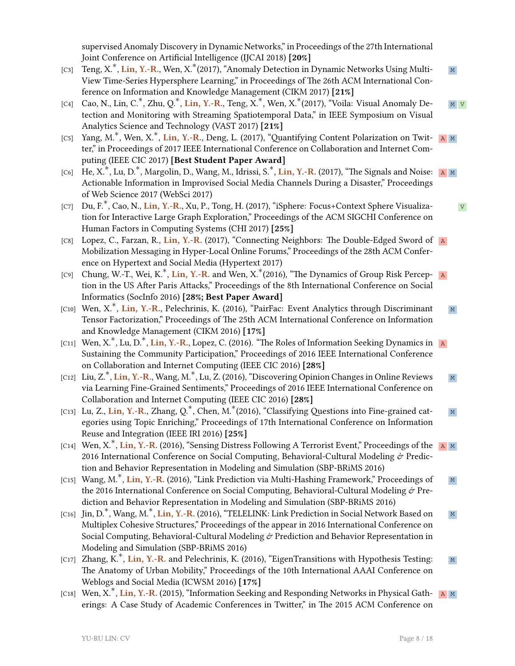supervised Anomaly Discovery in Dynamic Networks," in Proceedings of the 27th International Joint Conference on Artificial Intelligence (IJCAI 2018) **[20%]**

- [C3] Teng, X.<sup>\*</sup>, Lin, Y.-R., Wen, X.<sup>\*</sup>(2017), "Anomaly Detection in Dynamic Networks Using Multi- M View Time-Series Hypersphere Learning," in Proceedings of The 26th ACM International Conference on Information and Knowledge Management (CIKM 2017) **[21%]**
- [C4] Сао, N., Lin, C.<sup>∗</sup>, Zhu, Q.<sup>∗</sup>, **Lin, Y.-R.**, Teng, X.<sup>∗</sup>, Wen, X.<sup>∗</sup>(2017), "Voila: Visual Anomaly De- ∆ <mark>м ∨</mark> tection and Monitoring with Streaming Spatiotemporal Data," in IEEE Symposium on Visual Analytics Science and Technology (VAST 2017) **[21%]**
- [C5] Yang, M.<sup>\*</sup>, Wen, X.<sup>\*</sup>, Lin, Y.-R., Deng, L. (2017), "Quantifying Content Polarization on Twit- R M ter," in Proceedings of 2017 IEEE International Conference on Collaboration and Internet Computing (IEEE CIC 2017) **[Best Student Paper Award]**
- [C6] He, X.<sup>\*</sup>, Lu, D.<sup>\*</sup>, Margolin, D., Wang, M., Idrissi, S.<sup>\*</sup>, **Lin, Y.-R.** (2017), "The Signals and Noise: ∆ M Actionable Information in Improvised Social Media Channels During a Disaster," Proceedings of Web Science 2017 (WebSci 2017)
- [C7] Du, F.<sup>\*</sup>, Cao, N., <mark>Lin, Y.-R</mark>., Xu, P., Tong, H. (2017), "iSphere: Focus+Context Sphere Visualiza- v tion for Interactive Large Graph Exploration," Proceedings of the ACM SIGCHI Conference on Human Factors in Computing Systems (CHI 2017) **[25%]**
- [C8] Lopez, C., Farzan, R., Lin, Y.-R. (2017), "Connecting Neighbors: The Double-Edged Sword of A Mobilization Messaging in Hyper-Local Online Forums," Proceedings of the 28th ACM Conference on Hypertext and Social Media (Hypertext 2017)
- [C9] Chung, W.-T., Wei, K.<sup>\*</sup>, **Lin, Y.-R.** and Wen, X.<sup>\*</sup>(2016), "The Dynamics of Group Risk Percep- ∆A tion in the US After Paris Attacks," Proceedings of the 8th International Conference on Social Informatics (SocInfo 2016) **[28%; Best Paper Award]**
- [C10] Wen, X.<sup>\*</sup>, Lin, Y.-R., Pelechrinis, K. (2016), "PairFac: Event Analytics through Discriminant M Tensor Factorization," Proceedings of The 25th ACM International Conference on Information and Knowledge Management (CIKM 2016) **[17%]**
- [C11] Wen, X.<sup>∗</sup>, Lu, D.<sup>∗</sup>, **Lin, Y.-R.**, Lopez, C. (2016). "The Roles of Information Seeking Dynamics in ∆a Sustaining the Community Participation," Proceedings of 2016 IEEE International Conference on Collaboration and Internet Computing (IEEE CIC 2016) **[28%]**
- [C12] Liu, Z.<sup>\*</sup>, Lin, Y.-R., Wang, M.<sup>\*</sup>, Lu, Z. (2016), "Discovering Opinion Changes in Online Reviews ∧ M via Learning Fine-Grained Sentiments," Proceedings of 2016 IEEE International Conference on Collaboration and Internet Computing (IEEE CIC 2016) **[28%]**
- [C13] Lu, Z., Lin, Y.-R., Zhang, Q.<sup>\*</sup>, Chen, M.<sup>\*</sup>(2016), "Classifying Questions into Fine-grained cat-<br><sup>M</sup> egories using Topic Enriching," Proceedings of 17th International Conference on Information Reuse and Integration (IEEE IRI 2016) **[25%]**
- [C14] Wen, X.<sup>\*</sup>, **Lin, Y.-R.** (2016), "Sensing Distress Following A Terrorist Event," Proceedings of the ⊿ м 2016 International Conference on Social Computing, Behavioral-Cultural Modeling  $\dot{\sigma}$  Prediction and Behavior Representation in Modeling and Simulation (SBP-BRiMS 2016)
- [C15] Wang, M.<sup>\*</sup>, **Lin, Y.-R.** (2016), "Link Prediction via Multi-Hashing Framework," Proceedings of Ma the 2016 International Conference on Social Computing, Behavioral-Cultural Modeling & Prediction and Behavior Representation in Modeling and Simulation (SBP-BRiMS 2016)
- [C16] Jin, D.<sup>∗</sup>, Wang, M.<sup>∗</sup>, <mark>Lin, Y.-R.</mark> (2016), "TELELINK: Link Prediction in Social Network Based on മൃ Multiplex Cohesive Structures," Proceedings of the appear in 2016 International Conference on Social Computing, Behavioral-Cultural Modeling  $\mathcal O$  Prediction and Behavior Representation in Modeling and Simulation (SBP-BRiMS 2016)
- [C17] Zhang, K.<sup>\*</sup>, **Lin, Y.-R.** and Pelechrinis, K. (2016), "EigenTransitions with Hypothesis Testing: Ma The Anatomy of Urban Mobility," Proceedings of the 10th International AAAI Conference on Weblogs and Social Media (ICWSM 2016) **[17%]**
- [C18] Wen, X.<sup>\*</sup>, Lin, Y.-R. (2015), "Information Seeking and Responding Networks in Physical Gath- R M erings: A Case Study of Academic Conferences in Twitter," in The 2015 ACM Conference on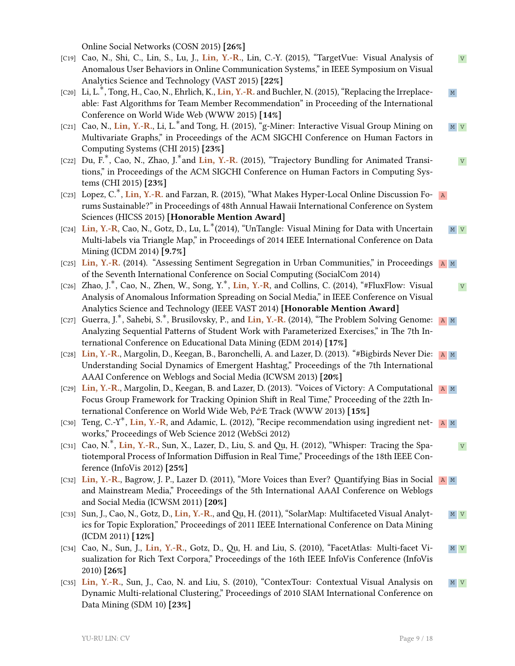Online Social Networks (COSN 2015) **[26%]**

- [C19] Cao, N., Shi, C., Lin, S., Lu, J., Lin, Y.-R., Lin, C.-Y. (2015), "TargetVue: Visual Analysis of V Anomalous User Behaviors in Online Communication Systems," in IEEE Symposium on Visual Analytics Science and Technology (VAST 2015) **[22%]**
- [C20] Li, L.<sup>\*</sup>, Tong, H., Cao, N., Ehrlich, K., <mark>Lin, Y.-R.</mark> and Buchler, N. (2015), "Replacing the Irreplace- м able: Fast Algorithms for Team Member Recommendation" in Proceeding of the International Conference on World Wide Web (WWW 2015) **[14%]**
- [C21] Cao, N., Lin, Y.-R., Li, L.<sup>\*</sup>and Tong, H. (2015), "g-Miner: Interactive Visual Group Mining on ⊿ <mark>и </mark> <mark>v</mark> Multivariate Graphs," in Proceedings of the ACM SIGCHI Conference on Human Factors in Computing Systems (CHI 2015) **[23%]**
- [C22] Du, F.<sup>\*</sup>, Cao, N., Zhao, J.<sup>\*</sup>and **Lin, Y.-R.** (2015), "Trajectory Bundling for Animated Transitions," in Proceedings of the ACM SIGCHI Conference on Human Factors in Computing Systems (CHI 2015) **[23%]**
- [C23] Lopez, C.<sup>∗</sup>, **Lin, Y.-R.** and Farzan, R. (2015), "What Makes Hyper-Local Online Discussion Fo- ∆a rums Sustainable?" in Proceedings of 48th Annual Hawaii International Conference on System Sciences (HICSS 2015) **[Honorable Mention Award]**
- [C24] Lin, Y.-R, Cao, N., Gotz, D., Lu, L.<sup>\*</sup>(2014), "UnTangle: Visual Mining for Data with Uncertain ∧ M <mark>v</mark> Multi-labels via Triangle Map," in Proceedings of 2014 IEEE International Conference on Data Mining (ICDM 2014) **[9.7%]**
- [C25] **Lin, Y.-R.** (2014). "Assessing Sentiment Segregation in Urban Communities," in Proceedings **A** M of the Seventh International Conference on Social Computing (SocialCom 2014)
- [C26] Zhao, J.<sup>∗</sup>, Cao, N., Zhen, W., Song, Y.<sup>∗</sup>, **Lin, Y.-R**, and Collins, C. (2014), "#FluxFlow: Visual v Analysis of Anomalous Information Spreading on Social Media," in IEEE Conference on Visual Analytics Science and Technology (IEEE VAST 2014) **[Honorable Mention Award]**
- [C27] Guerra, J.<sup>\*</sup>, Sahebi, S.<sup>\*</sup>, Brusilovsky, P., and Lin, Y.-R. (2014), "The Problem Solving Genome: A M Analyzing Sequential Patterns of Student Work with Parameterized Exercises," in The 7th International Conference on Educational Data Mining (EDM 2014) **[17%]**
- [C28] **Lin, Y.-R.**, Margolin, D., Keegan, B., Baronchelli, A. and Lazer, D. (2013). "#Bigbirds Never Die: A M Understanding Social Dynamics of Emergent Hashtag," Proceedings of the 7th International AAAI Conference on Weblogs and Social Media (ICWSM 2013) **[20%]**
- [C29] **Lin, Y.-R.**, Margolin, D., Keegan, B. and Lazer, D. (2013). "Voices of Victory: A Computational A M Focus Group Framework for Tracking Opinion Shift in Real Time," Proceeding of the 22th International Conference on World Wide Web, P&E Track (WWW 2013) [15%]
- [C30] Teng, C.-Y<sup>\*</sup>, Lin, Y.-R, and Adamic, L. (2012), "Recipe recommendation using ingredient net- **A** M works," Proceedings of Web Science 2012 (WebSci 2012)
- [C31] Cao, N.<sup>\*</sup>, **Lin, Y.-R.**, Sun, X., Lazer, D., Liu, S. and Qu, H. (2012), "Whisper: Tracing the Spatiotemporal Process of Information Diffusion in Real Time," Proceedings of the 18th IEEE Conference (InfoVis 2012) **[25%]**
- [C32] **Lin, Y.-R.**, Bagrow, J. P., Lazer D. (2011), "More Voices than Ever? Quantifying Bias in Social A M and Mainstream Media," Proceedings of the 5th International AAAI Conference on Weblogs and Social Media (ICWSM 2011) **[20%]**
- [C33] Sun, J., Cao, N., Gotz, D., Lin, Y.-R., and Qu, H. (2011), "SolarMap: Multifaceted Visual Analyt- M V ics for Topic Exploration," Proceedings of 2011 IEEE International Conference on Data Mining (ICDM 2011) **[12%]**
- [C34] Cao, N., Sun, J., **Lin, Y.-R.**, Gotz, D., Qu, H. and Liu, S. (2010), "FacetAtlas: Multi-facet Vi- M V sualization for Rich Text Corpora," Proceedings of the 16th IEEE InfoVis Conference (InfoVis 2010) **[26%]**
- [C35] Lin, Y.-R., Sun, J., Cao, N. and Liu, S. (2010), "ContexTour: Contextual Visual Analysis on M V Dynamic Multi-relational Clustering," Proceedings of 2010 SIAM International Conference on Data Mining (SDM 10) **[23%]**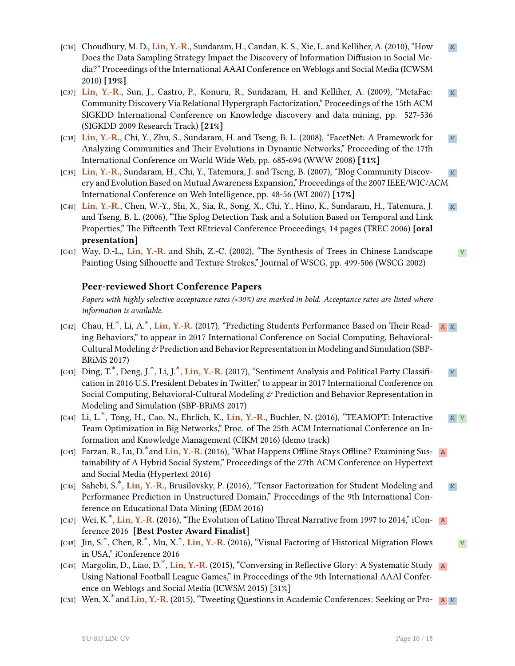- [C36] Choudhury, M. D., Lin, Y.-R., Sundaram, H., Candan, K. S., Xie, L. and Kelliher, A. (2010), "How M Does the Data Sampling Strategy Impact the Discovery of Information Diffusion in Social Media?" Proceedings of the International AAAI Conference on Weblogs and Social Media (ICWSM 2010) **[19%]**
- [C37] Lin, Y.-R., Sun, J., Castro, P., Konuru, R., Sundaram, H. and Kelliher, A. (2009), "MetaFac: M Community Discovery Via Relational Hypergraph Factorization," Proceedings of the 15th ACM SIGKDD International Conference on Knowledge discovery and data mining, pp. 527-536 (SIGKDD 2009 Research Track) **[21%]**
- [C38] **Lin, Y.-R.**, Chi, Y., Zhu, S., Sundaram, H. and Tseng, B. L. (2008), "FacetNet: A Framework for M Analyzing Communities and Their Evolutions in Dynamic Networks," Proceeding of the 17th International Conference on World Wide Web, pp. 685-694 (WWW 2008) **[11%]**
- [C39] **Lin, Y.-R.**, Sundaram, H., Chi, Y., Tatemura, J. and Tseng, B. (2007), "Blog Community Discov- M ery and Evolution Based on Mutual Awareness Expansion," Proceedings of the 2007 IEEE/WIC/ACM International Conference on Web Intelligence, pp. 48-56 (WI 2007) **[17%]**
- [C40] **Lin, Y.-R.**, Chen, W.-Y., Shi, X., Sia, R., Song, X., Chi, Y., Hino, K., Sundaram, H., Tatemura, J. M. and Tseng, B. L. (2006), "The Splog Detection Task and a Solution Based on Temporal and Link Properties," The Fifteenth Text REtrieval Conference Proceedings, 14 pages (TREC 2006) **[oral presentation]**
- [C41] Way, D.-L., Lin, Y.-R. and Shih, Z.-C. (2002), "The Synthesis of Trees in Chinese Landscape Painting Using Silhouette and Texture Strokes," Journal of WSCG, pp. 499-506 (WSCG 2002)

## **Peer-reviewed Short Conference Papers**

*Papers with highly selective acceptance rates (<30%) are marked in bold. Acceptance rates are listed where information is available.*

- [C42] Chau, H.<sup>\*</sup>, Li, A.<sup>\*</sup>, <mark>Lin, Y.-R.</mark> (2017), "Predicting Students Performance Based on Their Read- R M ing Behaviors," to appear in 2017 International Conference on Social Computing, Behavioral-Cultural Modeling  $\dot{\phi}$  Prediction and Behavior Representation in Modeling and Simulation (SBP-BRiMS 2017)
- [C43] Ding, T.<sup>\*</sup>, Deng, J.<sup>\*</sup>, Li, J.<sup>\*</sup>, Lin, Y.-R. (2017), "Sentiment Analysis and Political Party Classifi- M cation in 2016 U.S. President Debates in Twitter," to appear in 2017 International Conference on Social Computing, Behavioral-Cultural Modeling  $\mathring{\sigma}$  Prediction and Behavior Representation in Modeling and Simulation (SBP-BRiMS 2017)
- [C44] Li, L.<sup>\*</sup>, Tong, H., Cao, N., Ehrlich, K., <mark>Lin, Y.-R.,</mark> Buchler, N. (2016), "TEAMOPT: Interactive ∧ <mark>M v</mark> Team Optimization in Big Networks," Proc. of The 25th ACM International Conference on Information and Knowledge Management (CIKM 2016) (demo track)
- [C45] Farzan, R., Lu, D.<sup>\*</sup>and **Lin, Y.-R.** (2016), "What Happens Offline Stays Offline? Examining Sus- R tainability of A Hybrid Social System," Proceedings of the 27th ACM Conference on Hypertext and Social Media (Hypertext 2016)
- [C46] Sahebi, S.<sup>\*</sup>, **Lin, Y.-R.**, Brusilovsky, P. (2016), "Tensor Factorization for Student Modeling and ∧ ⊠ Performance Prediction in Unstructured Domain," Proceedings of the 9th International Conference on Educational Data Mining (EDM 2016)
- [C47] Wei, K.<sup>\*</sup>, **Lin, Y.-R.** (2016), "The Evolution of Latino Threat Narrative from 1997 to 2014," iCon- ∆a ference 2016 **[Best Poster Award Finalist]**
- [C48] Jin, S.<sup>\*</sup>, Chen, R.<sup>\*</sup>, Mu, X.<sup>\*</sup>, Lin, Y.-R. (2016), "Visual Factoring of Historical Migration Flows v in USA," iConference 2016
- [C49] Margolin, D., Liao, D.<sup>∗</sup>, **Lin, Y.-R.** (2015), "Conversing in Reflective Glory: A Systematic Study ∆a Using National Football League Games," in Proceedings of the 9th International AAAI Conference on Weblogs and Social Media (ICWSM 2015) [31%]
- [C50] Wen, X.<sup>\*</sup> and Lin, Y.-R. (2015), "Tweeting Questions in Academic Conferences: Seeking or Pro- A M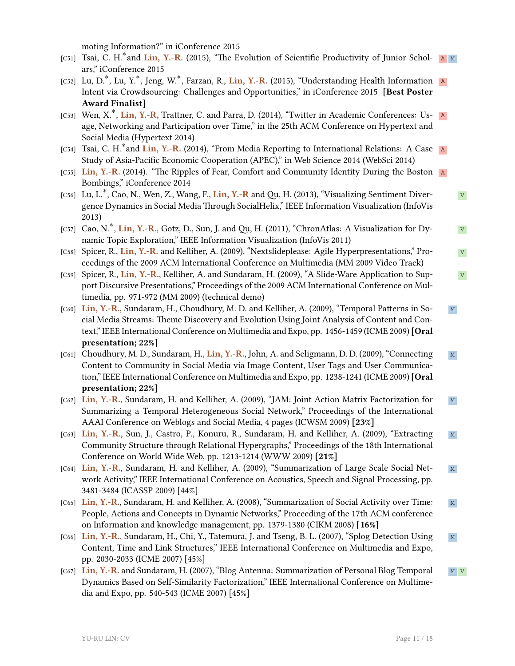moting Information?" in iConference 2015

- [C51] Tsai, C. H.<sup>\*</sup>and Lin, Y.-R. (2015), "The Evolution of Scientific Productivity of Junior Schol-A M ars," iConference 2015
- [C52] Lu, D.<sup>∗</sup>, Lu, Y.<sup>∗</sup>, Jeng, W.<sup>∗</sup>, Farzan, R., **Lin, Y.-R.** (2015), "Understanding Health Information **A** Intent via Crowdsourcing: Challenges and Opportunities," in iConference 2015 **[Best Poster Award Finalist]**
- [C53] Wen, X.<sup>\*</sup>, Lin, Y.-R, Trattner, C. and Parra, D. (2014), "Twitter in Academic Conferences: Usage, Networking and Participation over Time," in the 25th ACM Conference on Hypertext and Social Media (Hypertext 2014)
- [C54] Tsai, C. H.<sup>\*</sup>and Lin, Y.-R. (2014), "From Media Reporting to International Relations: A Case A Study of Asia-Pacific Economic Cooperation (APEC)," in Web Science 2014 (WebSci 2014)
- [C55] **Lin, Y.-R.** (2014). "The Ripples of Fear, Comfort and Community Identity During the Boston A Bombings," iConference 2014
- [C56] Lu, L.<sup>\*</sup>, Cao, N., Wen, Z., Wang, F., Lin, Y.-R and Qu, H. (2013), "Visualizing Sentiment Diver-v gence Dynamics in Social Media Through SocialHelix," IEEE Information Visualization (InfoVis 2013)
- [C57] Cao, N.<sup>\*</sup>, **Lin, Y.-R.**, Gotz, D., Sun, J. and Qu, H. (2011), "ChronAtlas: A Visualization for Dy-v namic Topic Exploration," IEEE Information Visualization (InfoVis 2011)
- [C58] Spicer, R., **Lin, Y.-R.** and Kelliher, A. (2009), "Nextslideplease: Agile Hyperpresentations," Pro- V ceedings of the 2009 ACM International Conference on Multimedia (MM 2009 Video Track)
- [C59] Spicer, R., **Lin, Y.-R.**, Kelliher, A. and Sundaram, H. (2009), "A Slide-Ware Application to Sup- V port Discursive Presentations," Proceedings of the 2009 ACM International Conference on Multimedia, pp. 971-972 (MM 2009) (technical demo)
- [C60] **Lin, Y.-R.**, Sundaram, H., Choudhury, M. D. and Kelliher, A. (2009), "Temporal Patterns in So- M cial Media Streams: Theme Discovery and Evolution Using Joint Analysis of Content and Context," IEEE International Conference on Multimedia and Expo, pp. 1456-1459 (ICME 2009)**[Oral presentation; 22%]**
- [C61] Choudhury, M. D., Sundaram, H., Lin, Y.-R., John, A. and Seligmann, D. D. (2009), "Connecting M Content to Community in Social Media via Image Content, User Tags and User Communication," IEEE International Conference on Multimedia and Expo, pp. 1238-1241 (ICME 2009)**[Oral presentation; 22%]**
- [C62] **Lin, Y.-R.**, Sundaram, H. and Kelliher, A. (2009), "JAM: Joint Action Matrix Factorization for M Summarizing a Temporal Heterogeneous Social Network," Proceedings of the International AAAI Conference on Weblogs and Social Media, 4 pages (ICWSM 2009) **[23%]**
- [C63] **Lin, Y.-R.**, Sun, J., Castro, P., Konuru, R., Sundaram, H. and Kelliher, A. (2009), "Extracting M Community Structure through Relational Hypergraphs," Proceedings of the 18th International Conference on World Wide Web, pp. 1213-1214 (WWW 2009) **[21%]**
- [C64] **Lin, Y.-R.**, Sundaram, H. and Kelliher, A. (2009), "Summarization of Large Scale Social Net- M work Activity," IEEE International Conference on Acoustics, Speech and Signal Processing, pp. 3481-3484 (ICASSP 2009) [44%]
- [C65] **Lin, Y.-R.**, Sundaram, H. and Kelliher, A. (2008), "Summarization of Social Activity over Time: M People, Actions and Concepts in Dynamic Networks," Proceeding of the 17th ACM conference on Information and knowledge management, pp. 1379-1380 (CIKM 2008) **[16%]**
- [C66] **Lin, Y.-R.**, Sundaram, H., Chi, Y., Tatemura, J. and Tseng, B. L. (2007), "Splog Detection Using M Content, Time and Link Structures," IEEE International Conference on Multimedia and Expo, pp. 2030-2033 (ICME 2007) [45%]
- [C67] Lin, Y.-R. and Sundaram, H. (2007), "Blog Antenna: Summarization of Personal Blog Temporal M V Dynamics Based on Self-Similarity Factorization," IEEE International Conference on Multimedia and Expo, pp. 540-543 (ICME 2007) [45%]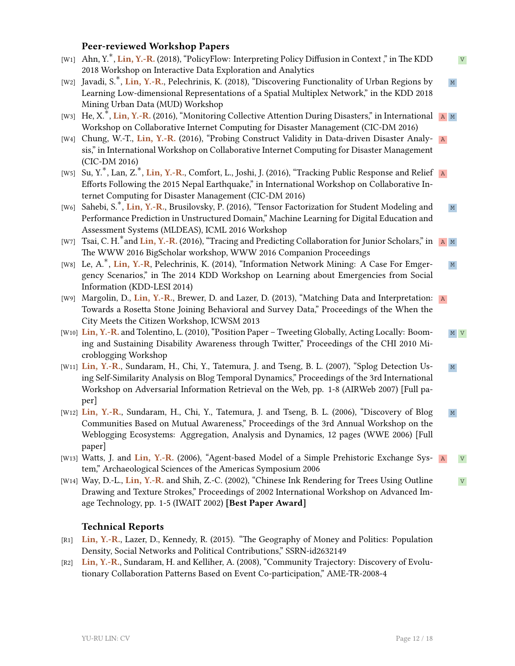### **Peer-reviewed Workshop Papers**

- [W1] Ahn, Y.<sup>\*</sup>, **Lin, Y.-R.** (2018), "PolicyFlow: Interpreting Policy Diffusion in Context ," in The KDD v 2018 Workshop on Interactive Data Exploration and Analytics
- [W2] Javadi, S.<sup>\*</sup>, **Lin, Y.-R.**, Pelechrinis, K. (2018), "Discovering Functionality of Urban Regions by ⊿ м Learning Low-dimensional Representations of a Spatial Multiplex Network," in the KDD 2018 Mining Urban Data (MUD) Workshop
- [W3] He, X.<sup>\*</sup>, Lin, Y.-R. (2016), "Monitoring Collective Attention During Disasters," in International A M Workshop on Collaborative Internet Computing for Disaster Management (CIC-DM 2016)
- [W4] Chung, W.-T., Lin, Y.-R. (2016), "Probing Construct Validity in Data-driven Disaster Analy- A sis," in International Workshop on Collaborative Internet Computing for Disaster Management (CIC-DM 2016)
- [W5] Su, Y.<sup>∗</sup>, Lan, Z.<sup>∗</sup>, **Lin, Y.-R.**, Comfort, L., Joshi, J. (2016), "Tracking Public Response and Relief a Efforts Following the 2015 Nepal Earthquake," in International Workshop on Collaborative Internet Computing for Disaster Management (CIC-DM 2016)
- [W6] Sahebi, S.<sup>\*</sup>, **Lin, Y.-R.**, Brusilovsky, P. (2016), "Tensor Factorization for Student Modeling and M Performance Prediction in Unstructured Domain," Machine Learning for Digital Education and Assessment Systems (MLDEAS), ICML 2016 Workshop
- [W7] Tsai, C. H.<sup>\*</sup>and <mark>Lin, Y.-R.</mark> (2016), "Tracing and Predicting Collaboration for Junior Scholars," in ⊔a ∣m The WWW 2016 BigScholar workshop, WWW 2016 Companion Proceedings
- [W8] Le, A.<sup>\*</sup>, Lin, Y.-R, Pelechrinis, K. (2014), "Information Network Mining: A Case For Emger- M gency Scenarios," in The 2014 KDD Workshop on Learning about Emergencies from Social Information (KDD-LESI 2014)
- [W9] Margolin, D., Lin, Y.-R., Brewer, D. and Lazer, D. (2013), "Matching Data and Interpretation: A Towards a Rosetta Stone Joining Behavioral and Survey Data," Proceedings of the When the City Meets the Citizen Workshop, ICWSM 2013
- [W10] Lin, Y.-R. and Tolentino, L. (2010), "Position Paper Tweeting Globally, Acting Locally: Boom- M V ing and Sustaining Disability Awareness through Twitter," Proceedings of the CHI 2010 Microblogging Workshop
- [W11] **Lin, Y.-R.**, Sundaram, H., Chi, Y., Tatemura, J. and Tseng, B. L. (2007), "Splog Detection Us- M ing Self-Similarity Analysis on Blog Temporal Dynamics," Proceedings of the 3rd International Workshop on Adversarial Information Retrieval on the Web, pp. 1-8 (AIRWeb 2007) [Full paper]
- [W12] Lin, Y.-R., Sundaram, H., Chi, Y., Tatemura, J. and Tseng, B. L. (2006), "Discovery of Blog M Communities Based on Mutual Awareness," Proceedings of the 3rd Annual Workshop on the Weblogging Ecosystems: Aggregation, Analysis and Dynamics, 12 pages (WWE 2006) [Full paper]
- [W13] Watts, J. and Lin, Y.-R. (2006), "Agent-based Model of a Simple Prehistoric Exchange Sys- A V tem," Archaeological Sciences of the Americas Symposium 2006
- [W14] Way, D.-L., **Lin, Y.-R.** and Shih, Z.-C. (2002), "Chinese Ink Rendering for Trees Using Outline V Drawing and Texture Strokes," Proceedings of 2002 International Workshop on Advanced Image Technology, pp. 1-5 (IWAIT 2002) **[Best Paper Award]**

### **Technical Reports**

- [R1] **Lin, Y.-R.**, Lazer, D., Kennedy, R. (2015). "The Geography of Money and Politics: Population Density, Social Networks and Political Contributions," SSRN-id2632149
- [R2] **Lin, Y.-R.**, Sundaram, H. and Kelliher, A. (2008), "Community Trajectory: Discovery of Evolutionary Collaboration Patterns Based on Event Co-participation," AME-TR-2008-4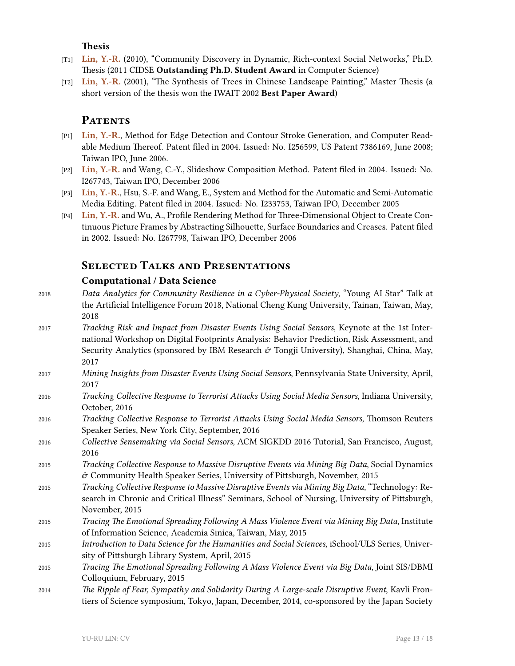### **Thesis**

- [T1] **Lin, Y.-R.** (2010), "Community Discovery in Dynamic, Rich-context Social Networks," Ph.D. Thesis (2011 CIDSE **Outstanding Ph.D. Student Award** in Computer Science)
- [T2] **Lin, Y.-R.** (2001), "The Synthesis of Trees in Chinese Landscape Painting," Master Thesis (a short version of the thesis won the IWAIT 2002 **Best Paper Award**)

# PATENTS

- [P1] **Lin, Y.-R.**, Method for Edge Detection and Contour Stroke Generation, and Computer Readable Medium Thereof. Patent filed in 2004. Issued: No. I256599, US Patent 7386169, June 2008; Taiwan IPO, June 2006.
- [P2] **Lin, Y.-R.** and Wang, C.-Y., Slideshow Composition Method. Patent filed in 2004. Issued: No. I267743, Taiwan IPO, December 2006
- [P3] **Lin, Y.-R.**, Hsu, S.-F. and Wang, E., System and Method for the Automatic and Semi-Automatic Media Editing. Patent filed in 2004. Issued: No. I233753, Taiwan IPO, December 2005
- [P4] **Lin, Y.-R.** and Wu, A., Profile Rendering Method for Three-Dimensional Object to Create Continuous Picture Frames by Abstracting Silhouette, Surface Boundaries and Creases. Patent filed in 2002. Issued: No. I267798, Taiwan IPO, December 2006

# **Selected Talks and Presentations**

## **Computational / Data Science**

- 2018 *Data Analytics for Community Resilience in a Cyber-Physical Society*, "Young AI Star" Talk at the Artificial Intelligence Forum 2018, National Cheng Kung University, Tainan, Taiwan, May, 2018
- 2017 *Tracking Risk and Impact from Disaster Events Using Social Sensors*, Keynote at the 1st International Workshop on Digital Footprints Analysis: Behavior Prediction, Risk Assessment, and Security Analytics (sponsored by IBM Research  $\dot{\sigma}$  Tongji University), Shanghai, China, May, 2017
- 2017 *Mining Insights from Disaster Events Using Social Sensors*, Pennsylvania State University, April, 2017
- 2016 *Tracking Collective Response to Terrorist Attacks Using Social Media Sensors*, Indiana University, October, 2016
- 2016 *Tracking Collective Response to Terrorist Attacks Using Social Media Sensors*, Thomson Reuters Speaker Series, New York City, September, 2016
- 2016 *Collective Sensemaking via Social Sensors*, ACM SIGKDD 2016 Tutorial, San Francisco, August, 2016
- 2015 *Tracking Collective Response to Massive Disruptive Events via Mining Big Data*, Social Dynamics  $\acute{\sigma}$  Community Health Speaker Series, University of Pittsburgh, November, 2015
- 2015 *Tracking Collective Response to Massive Disruptive Events via Mining Big Data*, "Technology: Research in Chronic and Critical Illness" Seminars, School of Nursing, University of Pittsburgh, November, 2015
- 2015 *Tracing The Emotional Spreading Following A Mass Violence Event via Mining Big Data*, Institute of Information Science, Academia Sinica, Taiwan, May, 2015
- 2015 *Introduction to Data Science for the Humanities and Social Sciences*, iSchool/ULS Series, University of Pittsburgh Library System, April, 2015
- 2015 *Tracing The Emotional Spreading Following A Mass Violence Event via Big Data*, Joint SIS/DBMI Colloquium, February, 2015
- 2014 *The Ripple of Fear, Sympathy and Solidarity During A Large-scale Disruptive Event*, Kavli Frontiers of Science symposium, Tokyo, Japan, December, 2014, co-sponsored by the Japan Society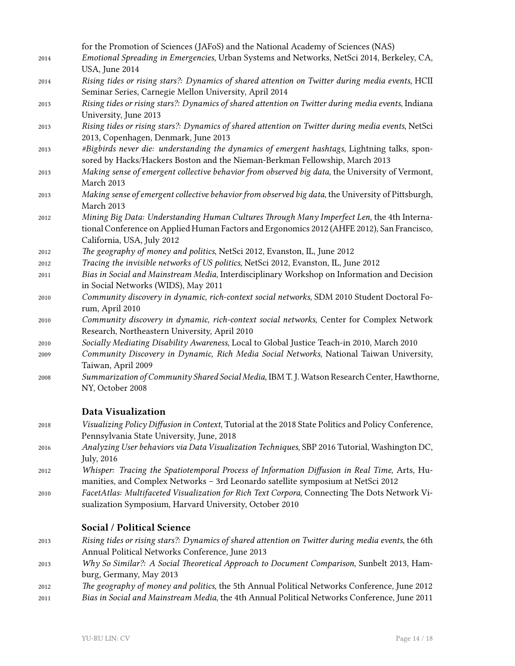|      | for the Promotion of Sciences (JAFoS) and the National Academy of Sciences (NAS)                    |
|------|-----------------------------------------------------------------------------------------------------|
| 2014 | Emotional Spreading in Emergencies, Urban Systems and Networks, NetSci 2014, Berkeley, CA,          |
|      | USA, June 2014                                                                                      |
| 2014 | Rising tides or rising stars?: Dynamics of shared attention on Twitter during media events, HCII    |
|      | Seminar Series, Carnegie Mellon University, April 2014                                              |
| 2013 | Rising tides or rising stars?: Dynamics of shared attention on Twitter during media events, Indiana |
|      | University, June 2013                                                                               |
| 2013 | Rising tides or rising stars?: Dynamics of shared attention on Twitter during media events, NetSci  |
|      | 2013, Copenhagen, Denmark, June 2013                                                                |
| 2013 | #Bigbirds never die: understanding the dynamics of emergent hashtags, Lightning talks, spon-        |
|      | sored by Hacks/Hackers Boston and the Nieman-Berkman Fellowship, March 2013                         |
| 2013 | Making sense of emergent collective behavior from observed big data, the University of Vermont,     |
|      | March 2013                                                                                          |
| 2013 | Making sense of emergent collective behavior from observed big data, the University of Pittsburgh,  |
|      | March 2013                                                                                          |
| 2012 | Mining Big Data: Understanding Human Cultures Through Many Imperfect Len, the 4th Interna-          |
|      | tional Conference on Applied Human Factors and Ergonomics 2012 (AHFE 2012), San Francisco,          |
|      | California, USA, July 2012                                                                          |
| 2012 | The geography of money and politics, NetSci 2012, Evanston, IL, June 2012                           |
| 2012 | Tracing the invisible networks of US politics, NetSci 2012, Evanston, IL, June 2012                 |
| 2011 | Bias in Social and Mainstream Media, Interdisciplinary Workshop on Information and Decision         |
|      | in Social Networks (WIDS), May 2011                                                                 |
| 2010 | Community discovery in dynamic, rich-context social networks, SDM 2010 Student Doctoral Fo-         |
|      | rum, April 2010                                                                                     |
| 2010 | Community discovery in dynamic, rich-context social networks, Center for Complex Network            |
|      | Research, Northeastern University, April 2010                                                       |
| 2010 | Socially Mediating Disability Awareness, Local to Global Justice Teach-in 2010, March 2010          |
| 2009 | Community Discovery in Dynamic, Rich Media Social Networks, National Taiwan University,             |
|      | Taiwan, April 2009                                                                                  |
| 2008 | Summarization of Community Shared Social Media, IBM T. J. Watson Research Center, Hawthorne,        |
|      | NY, October 2008                                                                                    |
|      | <b>Data Visualization</b>                                                                           |
| 2018 | Visualizing Policy Diffusion in Context, Tutorial at the 2018 State Politics and Policy Conference, |
|      | Pennsylvania State University, June, 2018                                                           |
| 2016 | Analyzing User behaviors via Data Visualization Techniques, SBP 2016 Tutorial, Washington DC,       |
|      | <b>July</b> , 2016                                                                                  |
| 2012 | Whisper: Tracing the Spatiotemporal Process of Information Diffusion in Real Time, Arts, Hu-        |

- manities, and Complex Networks 3rd Leonardo satellite symposium at NetSci 2012 2010 *FacetAtlas: Multifaceted Visualization for Rich Text Corpora*, Connecting The Dots Network Vi-
- sualization Symposium, Harvard University, October 2010

### **Social / Political Science**

- 2013 *Rising tides or rising stars?: Dynamics of shared attention on Twitter during media events*, the 6th Annual Political Networks Conference, June 2013
- 2013 *Why So Similar?: A Social Theoretical Approach to Document Comparison*, Sunbelt 2013, Hamburg, Germany, May 2013
- 2012 *The geography of money and politics*, the 5th Annual Political Networks Conference, June 2012
- 2011 *Bias in Social and Mainstream Media*, the 4th Annual Political Networks Conference, June 2011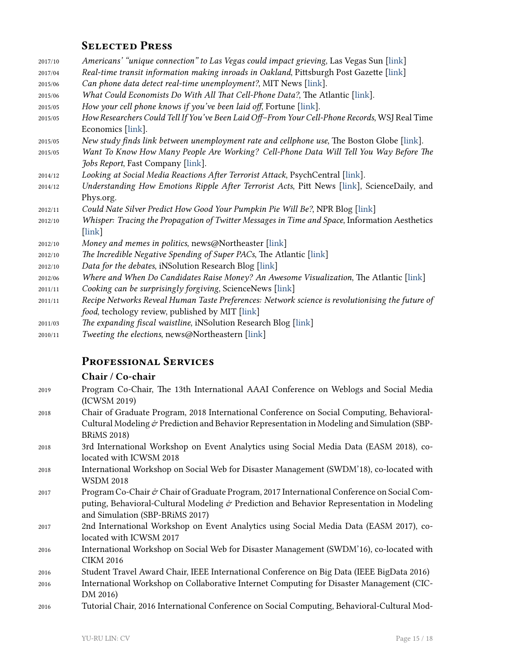# **Selected Press**

| Americans' "unique connection" to Las Vegas could impact grieving, Las Vegas Sun [link]          |
|--------------------------------------------------------------------------------------------------|
| Real-time transit information making inroads in Oakland, Pittsburgh Post Gazette [link]          |
| Can phone data detect real-time unemployment?, MIT News [link].                                  |
| What Could Economists Do With All That Cell-Phone Data?, The Atlantic [link].                    |
| How your cell phone knows if you've been laid off, Fortune [link].                               |
| How Researchers Could Tell If You've Been Laid Off-From Your Cell-Phone Records, WSJ Real Time   |
| Economics [link].                                                                                |
| New study finds link between unemployment rate and cellphone use, The Boston Globe [link].       |
| Want To Know How Many People Are Working? Cell-Phone Data Will Tell You Way Before The           |
| Jobs Report, Fast Company [link].                                                                |
| Looking at Social Media Reactions After Terrorist Attack, PsychCentral [link].                   |
| Understanding How Emotions Ripple After Terrorist Acts, Pitt News [link], ScienceDaily, and      |
| Phys.org.                                                                                        |
| Could Nate Silver Predict How Good Your Pumpkin Pie Will Be?, NPR Blog [link]                    |
| Whisper: Tracing the Propagation of Twitter Messages in Time and Space, Information Aesthetics   |
| $[\text{link}]$                                                                                  |
| Money and memes in politics, news@Northeaster [link]                                             |
| The Incredible Negative Spending of Super PACs, The Atlantic [link]                              |
| Data for the debates, iNSolution Research Blog [link]                                            |
| Where and When Do Candidates Raise Money? An Awesome Visualization, The Atlantic [link]          |
| Cooking can be surprisingly forgiving, ScienceNews [link]                                        |
| Recipe Networks Reveal Human Taste Preferences: Network science is revolutionising the future of |
| food, techology review, published by MIT [link]                                                  |
| The expanding fiscal waistline, iNSolution Research Blog [link]                                  |
| Tweeting the elections, news@Northeastern [link]                                                 |
|                                                                                                  |

# **Professional Services**

# **Chair / Co-chair**

| 2019 | Program Co-Chair, The 13th International AAAI Conference on Weblogs and Social Media                 |
|------|------------------------------------------------------------------------------------------------------|
|      | (ICWSM 2019)                                                                                         |
| 2018 | Chair of Graduate Program, 2018 International Conference on Social Computing, Behavioral-            |
|      | Cultural Modeling & Prediction and Behavior Representation in Modeling and Simulation (SBP-          |
|      | <b>BRIMS 2018)</b>                                                                                   |
| 2018 | 3rd International Workshop on Event Analytics using Social Media Data (EASM 2018), co-               |
|      | located with ICWSM 2018                                                                              |
| 2018 | International Workshop on Social Web for Disaster Management (SWDM'18), co-located with              |
|      | <b>WSDM 2018</b>                                                                                     |
| 2017 | Program Co-Chair & Chair of Graduate Program, 2017 International Conference on Social Com-           |
|      | puting, Behavioral-Cultural Modeling $\mathcal O$ Prediction and Behavior Representation in Modeling |
|      | and Simulation (SBP-BRiMS 2017)                                                                      |
| 2017 | 2nd International Workshop on Event Analytics using Social Media Data (EASM 2017), co-               |
|      | located with ICWSM 2017                                                                              |
| 2016 | International Workshop on Social Web for Disaster Management (SWDM'16), co-located with              |
|      | <b>CIKM 2016</b>                                                                                     |
| 2016 | Student Travel Award Chair, IEEE International Conference on Big Data (IEEE BigData 2016)            |
| 2016 | International Workshop on Collaborative Internet Computing for Disaster Management (CIC-             |
|      | DM 2016)                                                                                             |
| 2016 | Tutorial Chair, 2016 International Conference on Social Computing, Behavioral-Cultural Mod-          |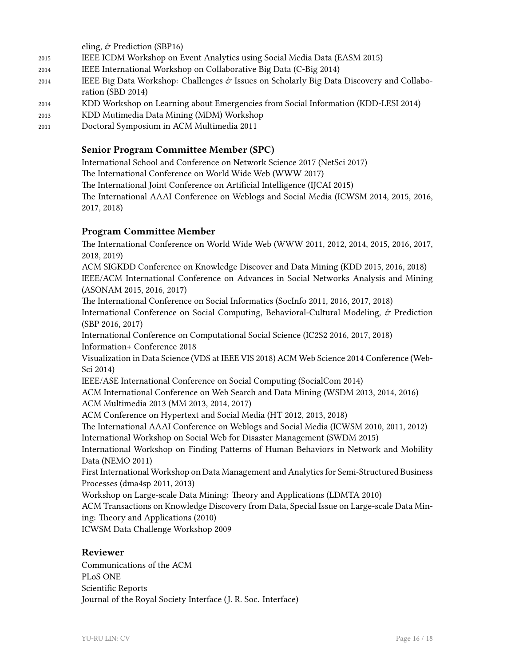eling, & Prediction (SBP16) 2015 IEEE ICDM Workshop on Event Analytics using Social Media Data (EASM 2015) 2014 IEEE International Workshop on Collaborative Big Data (C-Big 2014) 2014 IEEE Big Data Workshop: Challenges  $\dot{\varphi}$  Issues on Scholarly Big Data Discovery and Collaboration (SBD 2014) 2014 KDD Workshop on Learning about Emergencies from Social Information (KDD-LESI 2014) 2013 KDD Mutimedia Data Mining (MDM) Workshop

2011 Doctoral Symposium in ACM Multimedia 2011

### **Senior Program Committee Member (SPC)**

International School and Conference on Network Science 2017 (NetSci 2017) The International Conference on World Wide Web (WWW 2017) The International Joint Conference on Artificial Intelligence (IJCAI 2015) The International AAAI Conference on Weblogs and Social Media (ICWSM 2014, 2015, 2016, 2017, 2018)

## **Program Committee Member**

The International Conference on World Wide Web (WWW 2011, 2012, 2014, 2015, 2016, 2017, 2018, 2019)

ACM SIGKDD Conference on Knowledge Discover and Data Mining (KDD 2015, 2016, 2018) IEEE/ACM International Conference on Advances in Social Networks Analysis and Mining (ASONAM 2015, 2016, 2017)

The International Conference on Social Informatics (SocInfo 2011, 2016, 2017, 2018) International Conference on Social Computing, Behavioral-Cultural Modeling, & Prediction (SBP 2016, 2017)

International Conference on Computational Social Science (IC2S2 2016, 2017, 2018) Information+ Conference 2018

Visualization in Data Science (VDS at IEEE VIS 2018) ACM Web Science 2014 Conference (Web-Sci 2014)

IEEE/ASE International Conference on Social Computing (SocialCom 2014)

ACM International Conference on Web Search and Data Mining (WSDM 2013, 2014, 2016) ACM Multimedia 2013 (MM 2013, 2014, 2017)

ACM Conference on Hypertext and Social Media (HT 2012, 2013, 2018)

The International AAAI Conference on Weblogs and Social Media (ICWSM 2010, 2011, 2012) International Workshop on Social Web for Disaster Management (SWDM 2015)

International Workshop on Finding Patterns of Human Behaviors in Network and Mobility Data (NEMO 2011)

First International Workshop on Data Management and Analytics for Semi-Structured Business Processes (dma4sp 2011, 2013)

Workshop on Large-scale Data Mining: Theory and Applications (LDMTA 2010)

ACM Transactions on Knowledge Discovery from Data, Special Issue on Large-scale Data Mining: Theory and Applications (2010)

ICWSM Data Challenge Workshop 2009

### **Reviewer**

Communications of the ACM PLoS ONE Scientific Reports Journal of the Royal Society Interface (J. R. Soc. Interface)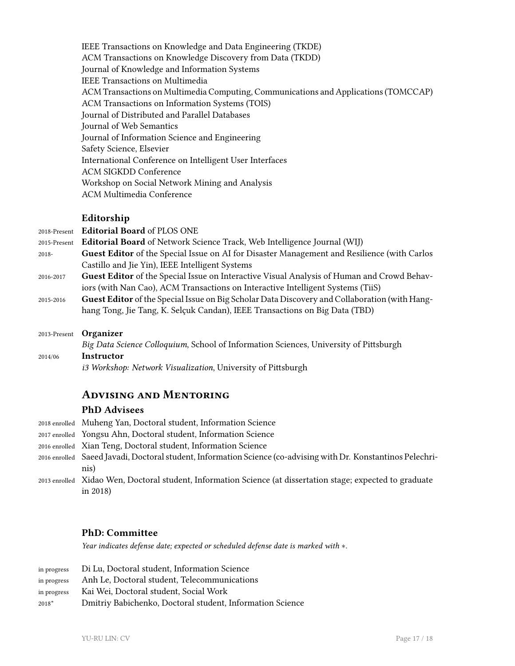IEEE Transactions on Knowledge and Data Engineering (TKDE) ACM Transactions on Knowledge Discovery from Data (TKDD) Journal of Knowledge and Information Systems IEEE Transactions on Multimedia ACM Transactions on Multimedia Computing, Communications and Applications (TOMCCAP) ACM Transactions on Information Systems (TOIS) Journal of Distributed and Parallel Databases Journal of Web Semantics Journal of Information Science and Engineering Safety Science, Elsevier International Conference on Intelligent User Interfaces ACM SIGKDD Conference Workshop on Social Network Mining and Analysis ACM Multimedia Conference

### **Editorship**

| 2018-Present | <b>Editorial Board of PLOS ONE</b>                                                                |
|--------------|---------------------------------------------------------------------------------------------------|
| 2015-Present | <b>Editorial Board</b> of Network Science Track, Web Intelligence Journal (WIJ)                   |
| $2018 -$     | Guest Editor of the Special Issue on AI for Disaster Management and Resilience (with Carlos       |
|              | Castillo and Jie Yin), IEEE Intelligent Systems                                                   |
| 2016-2017    | <b>Guest Editor</b> of the Special Issue on Interactive Visual Analysis of Human and Crowd Behav- |
|              | iors (with Nan Cao), ACM Transactions on Interactive Intelligent Systems (TiiS)                   |
| 2015-2016    | Guest Editor of the Special Issue on Big Scholar Data Discovery and Collaboration (with Hang-     |
|              | hang Tong, Jie Tang, K. Selçuk Candan), IEEE Transactions on Big Data (TBD)                       |
| 2013-Present | <b>Organizer</b>                                                                                  |
|              | Big Data Science Colloquium, School of Information Sciences, University of Pittsburgh             |

2014/06 **Instructor**

*i3 Workshop: Network Visualization*, University of Pittsburgh

# **Advising and Mentoring**

### **PhD Advisees**

| 2018 enrolled Muheng Yan, Doctoral student, Information Science                                                |
|----------------------------------------------------------------------------------------------------------------|
| 2017 enrolled Yongsu Ahn, Doctoral student, Information Science                                                |
| 2016 enrolled Xian Teng, Doctoral student, Information Science                                                 |
| 2016 enrolled Saeed Javadi, Doctoral student, Information Science (co-advising with Dr. Konstantinos Pelechri- |
| nis)                                                                                                           |
| 2013 enrolled Xidao Wen, Doctoral student, Information Science (at dissertation stage; expected to graduate    |
| in $2018$ )                                                                                                    |

### **PhD: Committee**

*Year indicates defense date; expected or scheduled defense date is marked with ∗.*

| in progress | Di Lu, Doctoral student, Information Science              |
|-------------|-----------------------------------------------------------|
| in progress | Anh Le, Doctoral student, Telecommunications              |
| in progress | Kai Wei, Doctoral student, Social Work                    |
| $2018*$     | Dmitriy Babichenko, Doctoral student, Information Science |